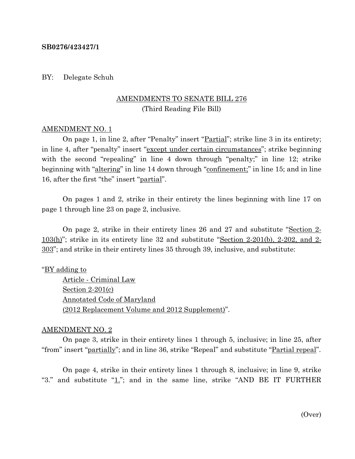#### **SB0276/423427/1**

#### BY: Delegate Schuh

## AMENDMENTS TO SENATE BILL 276 (Third Reading File Bill)

#### AMENDMENT NO. 1

On page 1, in line 2, after "Penalty" insert "Partial"; strike line 3 in its entirety; in line 4, after "penalty" insert "except under certain circumstances"; strike beginning with the second "repealing" in line 4 down through "penalty;" in line 12; strike beginning with "altering" in line 14 down through "confinement;" in line 15; and in line 16, after the first "the" insert "partial".

On pages 1 and 2, strike in their entirety the lines beginning with line 17 on page 1 through line 23 on page 2, inclusive.

On page 2, strike in their entirety lines 26 and 27 and substitute "Section 2- 103(h)"; strike in its entirety line 32 and substitute "Section 2-201(b), 2-202, and 2- 303"; and strike in their entirety lines 35 through 39, inclusive, and substitute:

#### "<u>BY adding to</u>

Article - Criminal Law Section 2-201(c) Annotated Code of Maryland (2012 Replacement Volume and 2012 Supplement)".

#### AMENDMENT NO. 2

On page 3, strike in their entirety lines 1 through 5, inclusive; in line 25, after "from" insert "<u>partially</u>"; and in line 36, strike "Repeal" and substitute "<u>Partial repeal</u>".

On page 4, strike in their entirety lines 1 through 8, inclusive; in line 9, strike "3." and substitute "1."; and in the same line, strike "AND BE IT FURTHER

(Over)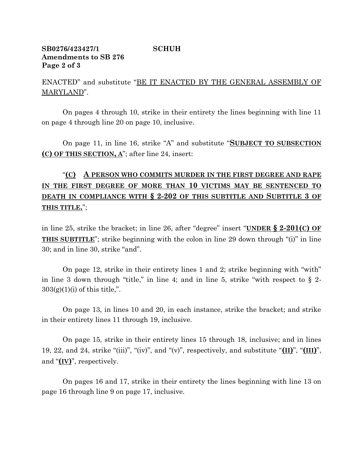### **SB0276/423427/1 SCHUH Amendments to SB 276 Page 2 of 3**

ENACTED" and substitute "BE IT ENACTED BY THE GENERAL ASSEMBLY OF MARYLAND".

On pages 4 through 10, strike in their entirety the lines beginning with line 11 on page 4 through line 20 on page 10, inclusive.

On page 11, in line 16, strike "A" and substitute "**SUBJECT TO SUBSECTION (C) OF THIS SECTION, A**"; after line 24, insert:

# "**(C) A PERSON WHO COMMITS MURDER IN THE FIRST DEGREE AND RAPE IN THE FIRST DEGREE OF MORE THAN 10 VICTIMS MAY BE SENTENCED TO DEATH IN COMPLIANCE WITH § 2-202 OF THIS SUBTITLE AND SUBTITLE 3 OF THIS TITLE.**";

in line 25, strike the bracket; in line 26, after "degree" insert "**UNDER § 2-201(C) OF THIS SUBTITLE**"; strike beginning with the colon in line 29 down through "(i)" in line 30; and in line 30, strike "and".

On page 12, strike in their entirety lines 1 and 2; strike beginning with "with" in line 3 down through "title," in line 4; and in line 5, strike "with respect to  $\S$  2- $303(g)(1)(i)$  of this title,".

On page 13, in lines 10 and 20, in each instance, strike the bracket; and strike in their entirety lines 11 through 19, inclusive.

On page 15, strike in their entirety lines 15 through 18, inclusive; and in lines 19, 22, and 24, strike "(iii)", "(iv)", and "(v)", respectively, and substitute "**(II)**", "**(III)**", and "**(IV)**", respectively.

On pages 16 and 17, strike in their entirety the lines beginning with line 13 on page 16 through line 9 on page 17, inclusive.